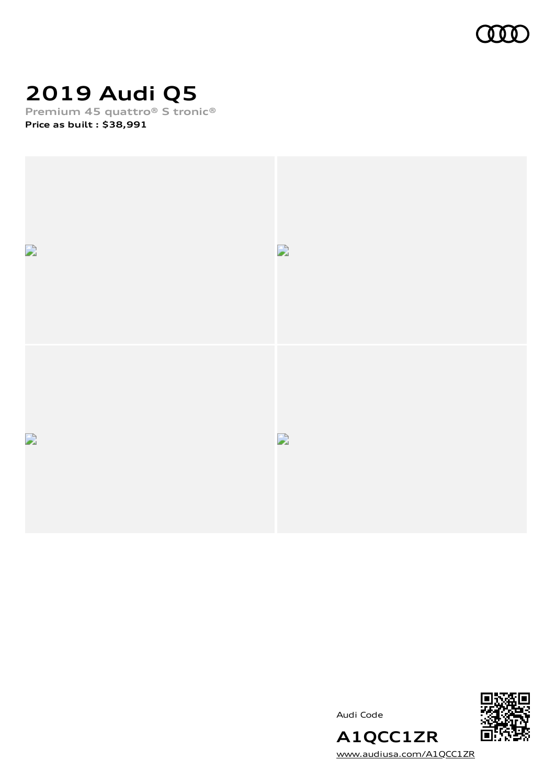

# **2019 Audi Q5**

**Premium 45 quattro® S tronic® Price as built [:](#page-10-0) \$38,991**



Audi Code



**A1QCC1ZR** [www.audiusa.com/A1QCC1ZR](https://www.audiusa.com/A1QCC1ZR)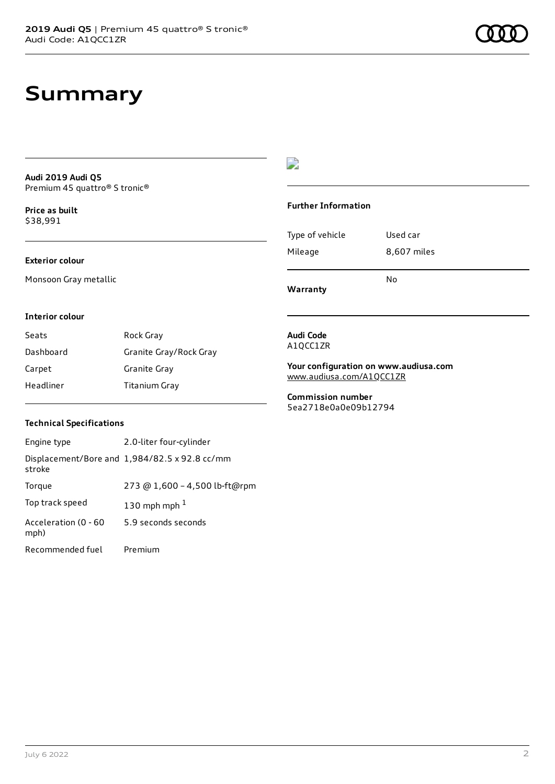### **Summary**

**Audi 2019 Audi Q5** Premium 45 quattro® S tronic®

**Price as buil[t](#page-10-0)** \$38,991

#### **Exterior colour**

Monsoon Gray metallic

### $\overline{\phantom{a}}$

#### **Further Information**

|                 | N٥          |
|-----------------|-------------|
| Mileage         | 8,607 miles |
| Type of vehicle | Used car    |

**Warranty**

#### **Interior colour**

| Seats     | Rock Gray              |
|-----------|------------------------|
| Dashboard | Granite Gray/Rock Gray |
| Carpet    | Granite Gray           |
| Headliner | Titanium Gray          |

#### **Audi Code** A1QCC1ZR

**Your configuration on www.audiusa.com** [www.audiusa.com/A1QCC1ZR](https://www.audiusa.com/A1QCC1ZR)

**Commission number** 5ea2718e0a0e09b12794

#### **Technical Specifications**

| Engine type                  | 2.0-liter four-cylinder                       |
|------------------------------|-----------------------------------------------|
| stroke                       | Displacement/Bore and 1,984/82.5 x 92.8 cc/mm |
| Torque                       | 273 @ 1,600 - 4,500 lb-ft@rpm                 |
| Top track speed              | 130 mph mph $1$                               |
| Acceleration (0 - 60<br>mph) | 5.9 seconds seconds                           |
| Recommended fuel             | Premium                                       |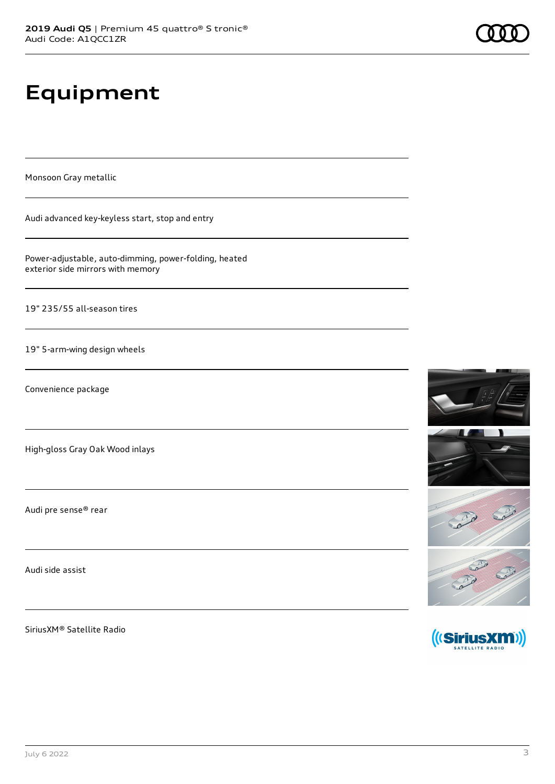# **Equipment**

Monsoon Gray metallic

Audi advanced key-keyless start, stop and entry

Power-adjustable, auto-dimming, power-folding, heated exterior side mirrors with memory

19" 235/55 all-season tires

19" 5-arm-wing design wheels

Convenience package

High-gloss Gray Oak Wood inlays

Audi pre sense® rear

Audi side assist

SiriusXM® Satellite Radio





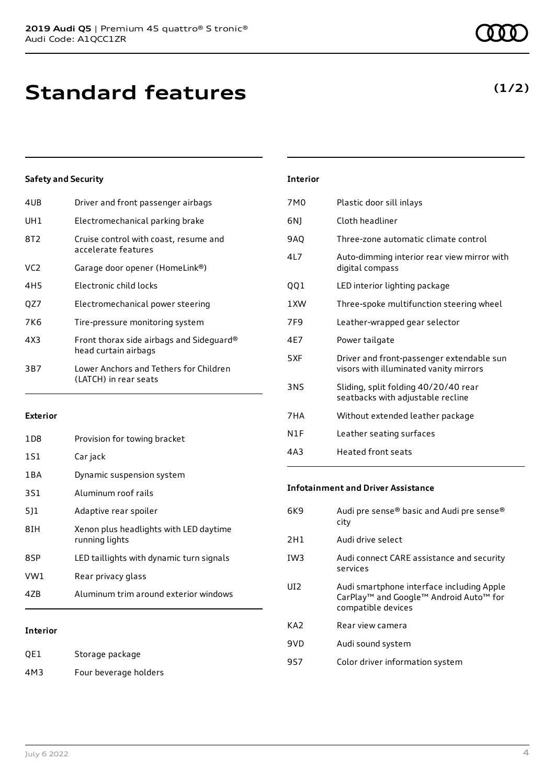| 4UB | Driver and front passenger airbags                               |
|-----|------------------------------------------------------------------|
| UH1 | Electromechanical parking brake                                  |
| 8T2 | Cruise control with coast, resume and<br>accelerate features     |
| VC2 | Garage door opener (HomeLink®)                                   |
| 4H5 | Electronic child locks                                           |
| QZ7 | Electromechanical power steering                                 |
| 7K6 | Tire-pressure monitoring system                                  |
| 4X3 | Front thorax side airbags and Sideguard®<br>head curtain airbags |
| 3B7 | Lower Anchors and Tethers for Children<br>(LATCH) in rear seats  |
|     |                                                                  |

#### **Exterior**

| <b>Interior</b> |                                                          |
|-----------------|----------------------------------------------------------|
| 4ZB             | Aluminum trim around exterior windows                    |
| VW1             | Rear privacy glass                                       |
| 8SP             | LED taillights with dynamic turn signals                 |
| 81H             | Xenon plus headlights with LED daytime<br>running lights |
| 511             | Adaptive rear spoiler                                    |
| 3S1             | Aluminum roof rails                                      |
| 1 B A           | Dynamic suspension system                                |
| 1S1             | Car jack                                                 |
| 1D8             | Provision for towing bracket                             |

#### **Interior**

| QE1 | Storage package       |
|-----|-----------------------|
| 4M3 | Four beverage holders |

| Interior |
|----------|
|----------|

| 7M <sub>0</sub> | Plastic door sill inlays                                                            |
|-----------------|-------------------------------------------------------------------------------------|
| 6N)             | Cloth headliner                                                                     |
| 9AQ             | Three-zone automatic climate control                                                |
| 417             | Auto-dimming interior rear view mirror with<br>digital compass                      |
| QQ1             | LED interior lighting package                                                       |
| 1 XW            | Three-spoke multifunction steering wheel                                            |
| 7F <sub>9</sub> | Leather-wrapped gear selector                                                       |
| 4E7             | Power tailgate                                                                      |
| 5XF             | Driver and front-passenger extendable sun<br>visors with illuminated vanity mirrors |
| <b>3NS</b>      | Sliding, split folding 40/20/40 rear<br>seatbacks with adjustable recline           |
| 7HA             | Without extended leather package                                                    |
| N1F             | Leather seating surfaces                                                            |
| 4A3             | <b>Heated front seats</b>                                                           |

#### **Infotainment and Driver Assistance**

| 6K9             | Audi pre sense® basic and Audi pre sense®<br>city                                                                     |
|-----------------|-----------------------------------------------------------------------------------------------------------------------|
| 2H1             | Audi drive select                                                                                                     |
| IW <sub>3</sub> | Audi connect CARE assistance and security<br>services                                                                 |
| UD <sub>2</sub> | Audi smartphone interface including Apple<br>CarPlay <sup>™</sup> and Google™ Android Auto™ for<br>compatible devices |
| KA <sub>2</sub> | Rear view camera                                                                                                      |
| 9VD             | Audi sound system                                                                                                     |
| 9S7             | Color driver information system                                                                                       |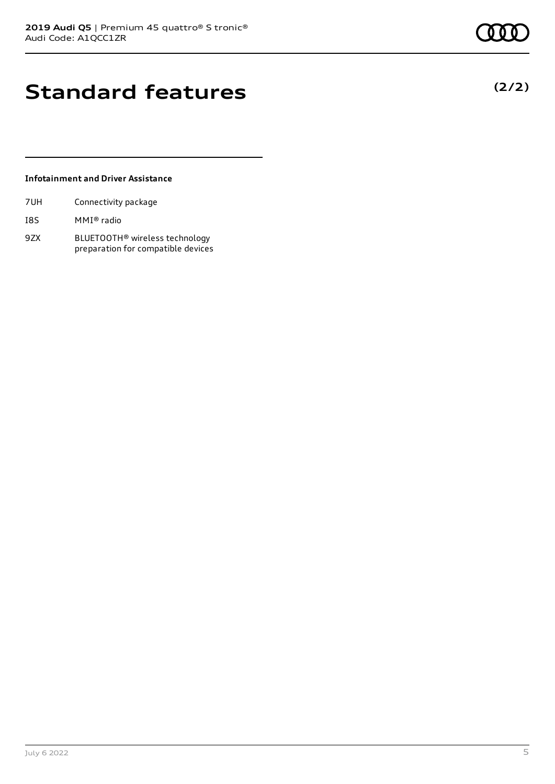## **Standard features**

#### **Infotainment and Driver Assistance**

| 7UH | Connectivity package |  |
|-----|----------------------|--|
|     |                      |  |

- I8S MMI® radio
- 9ZX BLUETOOTH® wireless technology preparation for compatible devices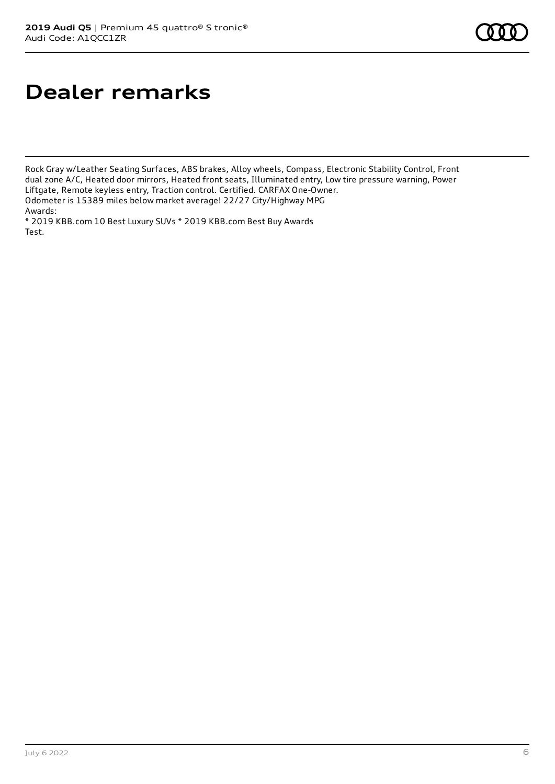# **Dealer remarks**

Rock Gray w/Leather Seating Surfaces, ABS brakes, Alloy wheels, Compass, Electronic Stability Control, Front dual zone A/C, Heated door mirrors, Heated front seats, Illuminated entry, Low tire pressure warning, Power Liftgate, Remote keyless entry, Traction control. Certified. CARFAX One-Owner. Odometer is 15389 miles below market average! 22/27 City/Highway MPG Awards:

\* 2019 KBB.com 10 Best Luxury SUVs \* 2019 KBB.com Best Buy Awards Test.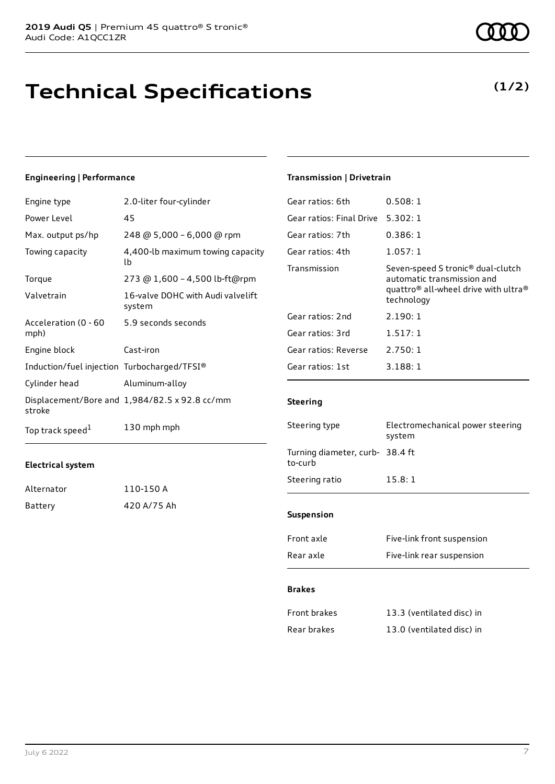## **Technical Specifications**

#### **Engineering | Performance**

| Engine type                                 | 2.0-liter four-cylinder                       |
|---------------------------------------------|-----------------------------------------------|
| Power Level                                 | 45                                            |
| Max. output ps/hp                           | 248 @ 5,000 - 6,000 @ rpm                     |
| Towing capacity                             | 4,400-lb maximum towing capacity<br>lb        |
| Torque                                      | 273 @ 1,600 - 4,500 lb-ft@rpm                 |
| Valvetrain                                  | 16-valve DOHC with Audi valvelift<br>system   |
| Acceleration (0 - 60<br>mph)                | 5.9 seconds seconds                           |
| Engine block                                | Cast-iron                                     |
| Induction/fuel injection Turbocharged/TFSI® |                                               |
| Cylinder head                               | Aluminum-alloy                                |
| stroke                                      | Displacement/Bore and 1,984/82.5 x 92.8 cc/mm |
| Top track speed <sup>1</sup>                | 130 mph mph                                   |

#### **Electrical system**

| Alternator | 110-150 A   |
|------------|-------------|
| Battery    | 420 A/75 Ah |

### **Transmission | Drivetrain**

| Gear ratios: 6th         | 0.508:1                                                                                                                                                   |
|--------------------------|-----------------------------------------------------------------------------------------------------------------------------------------------------------|
| Gear ratios: Final Drive | 5.302:1                                                                                                                                                   |
| Gear ratios: 7th         | 0.386:1                                                                                                                                                   |
| Gear ratios: 4th         | 1.057:1                                                                                                                                                   |
| Transmission             | Seven-speed S tronic <sup>®</sup> dual-clutch<br>automatic transmission and<br>quattro <sup>®</sup> all-wheel drive with ultra <sup>®</sup><br>technology |
| Gear ratios: 2nd         | 2.190:1                                                                                                                                                   |
| Gear ratios: 3rd         | 1.517:1                                                                                                                                                   |
| Gear ratios: Reverse     | 2.750:1                                                                                                                                                   |
| Gear ratios: 1st         | 3.188:1                                                                                                                                                   |
|                          |                                                                                                                                                           |

#### **Steering**

| Steering type                             | Electromechanical power steering<br>system |  |
|-------------------------------------------|--------------------------------------------|--|
| Turning diameter, curb-38.4 ft<br>to-curb |                                            |  |
| Steering ratio                            | 15.8:1                                     |  |
| <b>Suspension</b>                         |                                            |  |
| Front axle                                | Five-link front suspension                 |  |
|                                           |                                            |  |

### Rear axle Five-link rear suspension

#### **Brakes**

| Front brakes | 13.3 (ventilated disc) in |
|--------------|---------------------------|
| Rear brakes  | 13.0 (ventilated disc) in |

### **(1/2)**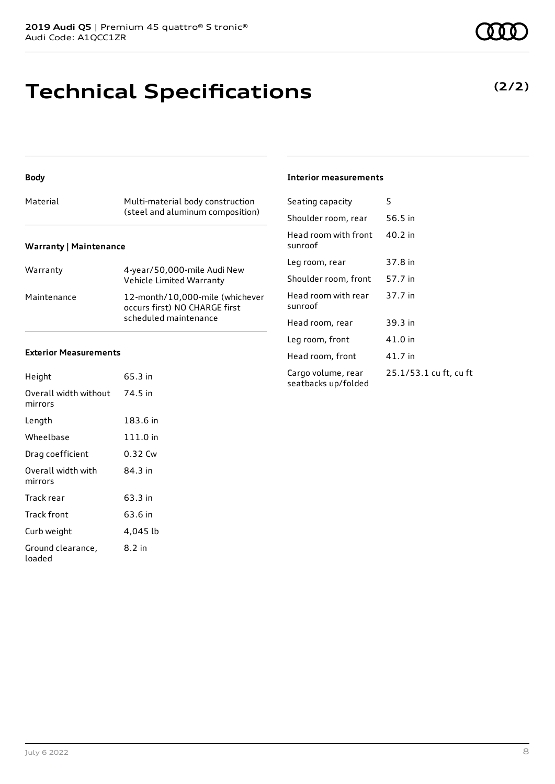### **Technical Specifications**

#### **Body**

|                               | (steel and aluminum composition) |  |  |
|-------------------------------|----------------------------------|--|--|
| <b>Warranty   Maintenance</b> |                                  |  |  |

| Warranty    | 4-year/50,000-mile Audi New<br>Vehicle Limited Warranty                                   |
|-------------|-------------------------------------------------------------------------------------------|
| Maintenance | 12-month/10,000-mile (whichever<br>occurs first) NO CHARGE first<br>scheduled maintenance |

#### **Exterior Measurements**

| Height                           | 65.3 in  |
|----------------------------------|----------|
| Overall width without<br>mirrors | 74.5 in  |
| Length                           | 183.6 in |
| Wheelbase                        | 111.0 in |
| Drag coefficient                 | 0.32 Cw  |
| Overall width with<br>mirrors    | 84.3 in  |
| Track rear                       | 63.3 in  |
| Track front                      | 63.6 in  |
| Curb weight                      | 4,045 lb |
| Ground clearance,<br>loaded      | 8.2 in   |

#### **Interior measurements**

| Seating capacity                          | 5                      |
|-------------------------------------------|------------------------|
| Shoulder room, rear                       | 56.5 in                |
| Head room with front<br>sunroof           | 40.2 in                |
| Leg room, rear                            | 37.8 in                |
| Shoulder room, front                      | 57.7 in                |
| Head room with rear<br>sunroof            | 37.7 in                |
| Head room, rear                           | 39.3 in                |
| Leg room, front                           | 41.0 in                |
| Head room, front                          | 41.7 in                |
| Cargo volume, rear<br>seatbacks up/folded | 25.1/53.1 cu ft, cu ft |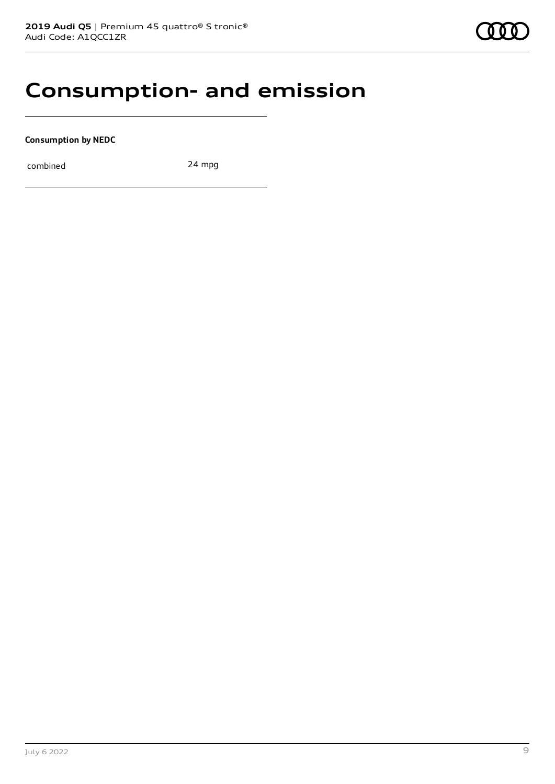### **Consumption- and emission**

**Consumption by NEDC**

combined 24 mpg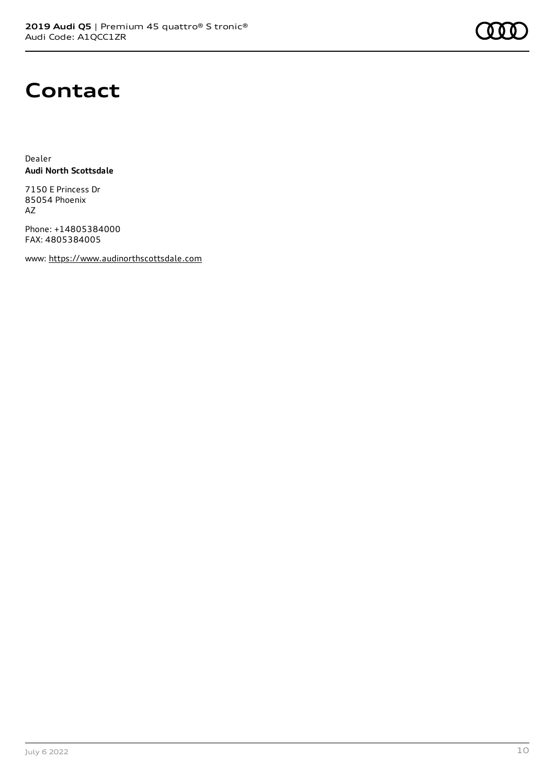

### **Contact**

Dealer **Audi North Scottsdale**

7150 E Princess Dr 85054 Phoenix AZ

Phone: +14805384000 FAX: 4805384005

www: [https://www.audinorthscottsdale.com](https://www.audinorthscottsdale.com/)